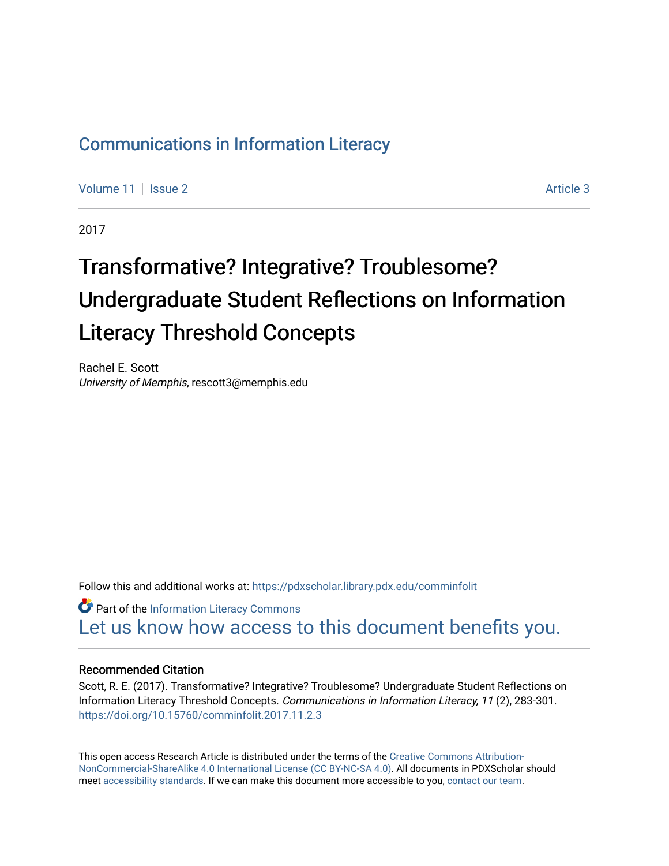# [Communications in Information Literacy](https://pdxscholar.library.pdx.edu/comminfolit)

[Volume 11](https://pdxscholar.library.pdx.edu/comminfolit/vol11) | [Issue 2](https://pdxscholar.library.pdx.edu/comminfolit/vol11/iss2) Article 3

2017

# Transformative? Integrative? Troublesome? Undergraduate Student Reflections on Information Literacy Threshold Concepts

Rachel E. Scott University of Memphis, rescott3@memphis.edu

Follow this and additional works at: [https://pdxscholar.library.pdx.edu/comminfolit](https://pdxscholar.library.pdx.edu/comminfolit?utm_source=pdxscholar.library.pdx.edu%2Fcomminfolit%2Fvol11%2Fiss2%2F3&utm_medium=PDF&utm_campaign=PDFCoverPages) 

**Part of the [Information Literacy Commons](http://network.bepress.com/hgg/discipline/1243?utm_source=pdxscholar.library.pdx.edu%2Fcomminfolit%2Fvol11%2Fiss2%2F3&utm_medium=PDF&utm_campaign=PDFCoverPages)** [Let us know how access to this document benefits you.](http://library.pdx.edu/services/pdxscholar-services/pdxscholar-feedback/) 

#### Recommended Citation

Scott, R. E. (2017). Transformative? Integrative? Troublesome? Undergraduate Student Reflections on Information Literacy Threshold Concepts. Communications in Information Literacy, 11 (2), 283-301. <https://doi.org/10.15760/comminfolit.2017.11.2.3>

This open access Research Article is distributed under the terms of the [Creative Commons Attribution-](https://creativecommons.org/licenses/by-nc-sa/4.0/)[NonCommercial-ShareAlike 4.0 International License \(CC BY-NC-SA 4.0\)](https://creativecommons.org/licenses/by-nc-sa/4.0/). All documents in PDXScholar should meet [accessibility standards](https://pdxscholar.library.pdx.edu/accessibility.html). If we can make this document more accessible to you, [contact our team.](mailto:pdxscholar@pdx.edu)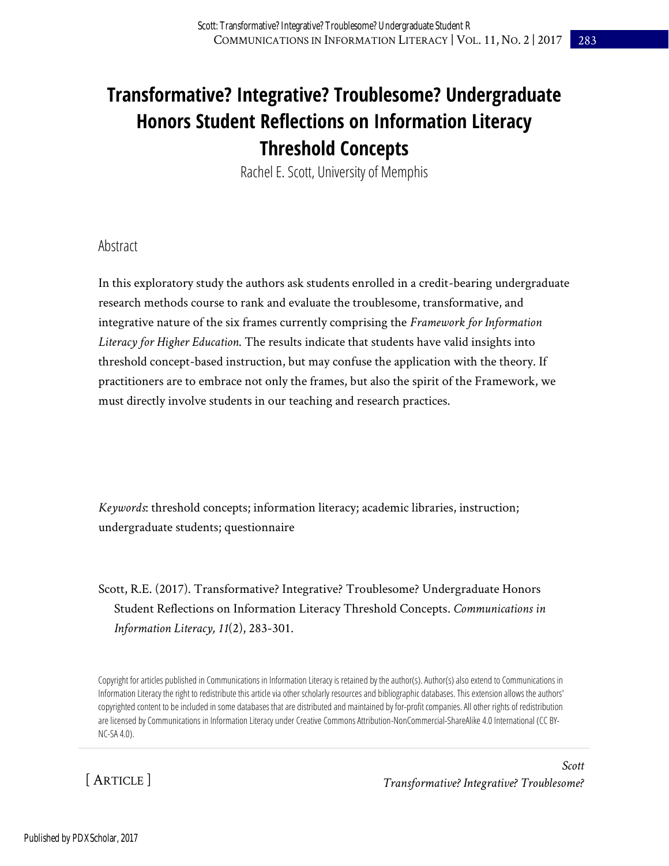# **Transformative? Integrative? Troublesome? Undergraduate Honors Student Reflections on Information Literacy Threshold Concepts**

Rachel E. Scott, University of Memphis

#### Abstract

In this exploratory study the authors ask students enrolled in a credit-bearing undergraduate research methods course to rank and evaluate the troublesome, transformative, and integrative nature of the six frames currently comprising the *Framework for Information Literacy for Higher Education*. The results indicate that students have valid insights into threshold concept-based instruction, but may confuse the application with the theory. If practitioners are to embrace not only the frames, but also the spirit of the Framework, we must directly involve students in our teaching and research practices.

*Keywords*: threshold concepts; information literacy; academic libraries, instruction; undergraduate students; questionnaire

Scott, R.E. (2017). Transformative? Integrative? Troublesome? Undergraduate Honors Student Reflections on Information Literacy Threshold Concepts. *Communications in Information Literacy, 11*(2), 283-301.

Copyright for articles published in Communications in Information Literacy is retained by the author(s). Author(s) also extend to Communications in Information Literacy the right to redistribute this article via other scholarly resources and bibliographic databases. This extension allows the authors' copyrighted content to be included in some databases that are distributed and maintained by for-profit companies. All other rights of redistribution are licensed by Communications in Information Literacy under Creative Commons Attribution-NonCommercial-ShareAlike 4.0 International (CC BY-NC-SA 4.0).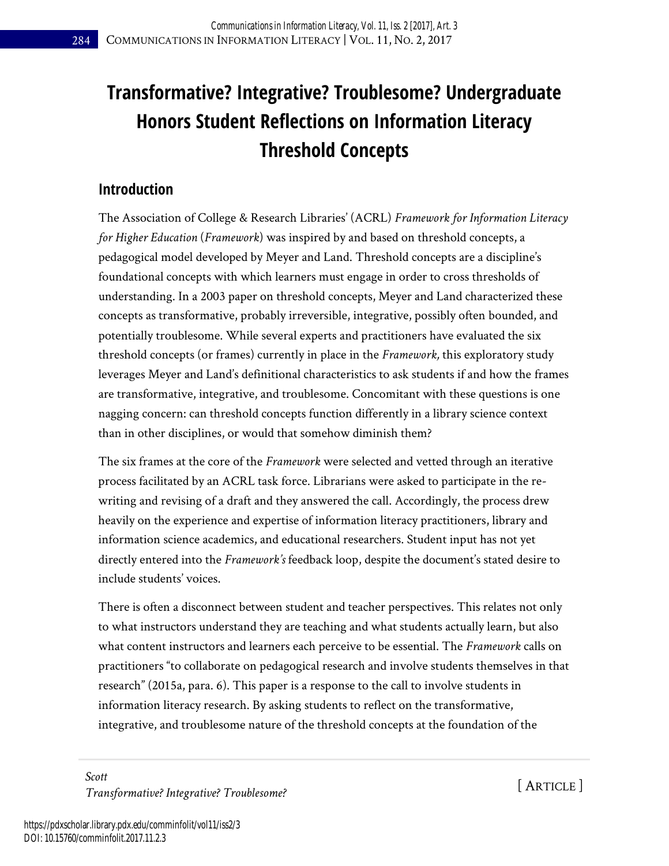# **Transformative? Integrative? Troublesome? Undergraduate Honors Student Reflections on Information Literacy Threshold Concepts**

### **Introduction**

The Association of College & Research Libraries' (ACRL) *Framework for Information Literacy for Higher Education* (*Framework*) was inspired by and based on threshold concepts, a pedagogical model developed by Meyer and Land. Threshold concepts are a discipline's foundational concepts with which learners must engage in order to cross thresholds of understanding. In a 2003 paper on threshold concepts, Meyer and Land characterized these concepts as transformative, probably irreversible, integrative, possibly often bounded, and potentially troublesome. While several experts and practitioners have evaluated the six threshold concepts (or frames) currently in place in the *Framework,* this exploratory study leverages Meyer and Land's definitional characteristics to ask students if and how the frames are transformative, integrative, and troublesome. Concomitant with these questions is one nagging concern: can threshold concepts function differently in a library science context than in other disciplines, or would that somehow diminish them?

The six frames at the core of the *Framework* were selected and vetted through an iterative process facilitated by an ACRL task force. Librarians were asked to participate in the rewriting and revising of a draft and they answered the call. Accordingly, the process drew heavily on the experience and expertise of information literacy practitioners, library and information science academics, and educational researchers. Student input has not yet directly entered into the *Framework's* feedback loop, despite the document's stated desire to include students' voices.

There is often a disconnect between student and teacher perspectives. This relates not only to what instructors understand they are teaching and what students actually learn, but also what content instructors and learners each perceive to be essential. The *Framework* calls on practitioners "to collaborate on pedagogical research and involve students themselves in that research" (2015a, para. 6). This paper is a response to the call to involve students in information literacy research. By asking students to reflect on the transformative, integrative, and troublesome nature of the threshold concepts at the foundation of the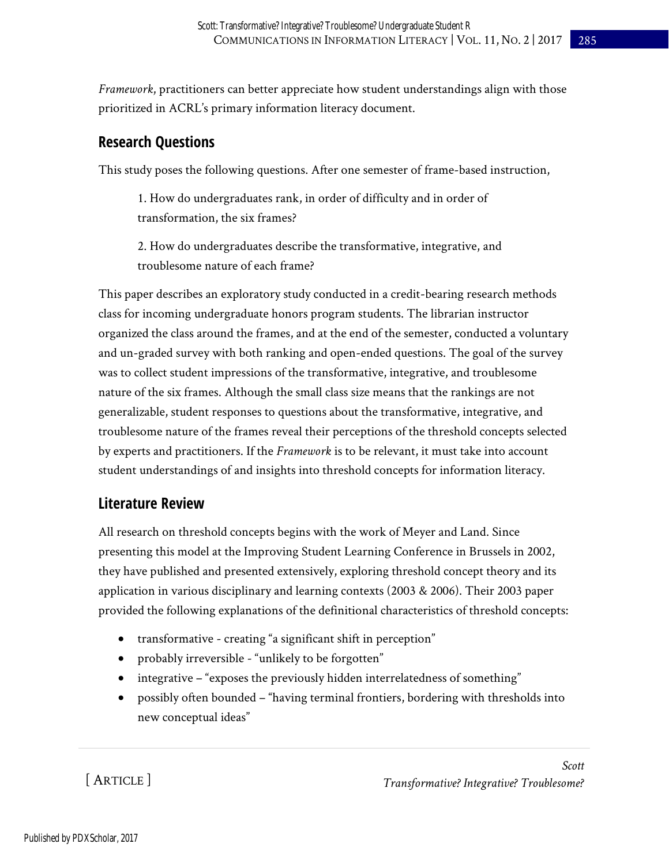*Framework*, practitioners can better appreciate how student understandings align with those prioritized in ACRL's primary information literacy document.

### **Research Questions**

This study poses the following questions. After one semester of frame-based instruction,

1. How do undergraduates rank, in order of difficulty and in order of transformation, the six frames?

2. How do undergraduates describe the transformative, integrative, and troublesome nature of each frame?

This paper describes an exploratory study conducted in a credit-bearing research methods class for incoming undergraduate honors program students. The librarian instructor organized the class around the frames, and at the end of the semester, conducted a voluntary and un-graded survey with both ranking and open-ended questions. The goal of the survey was to collect student impressions of the transformative, integrative, and troublesome nature of the six frames. Although the small class size means that the rankings are not generalizable, student responses to questions about the transformative, integrative, and troublesome nature of the frames reveal their perceptions of the threshold concepts selected by experts and practitioners. If the *Framework* is to be relevant, it must take into account student understandings of and insights into threshold concepts for information literacy.

## **Literature Review**

All research on threshold concepts begins with the work of Meyer and Land. Since presenting this model at the Improving Student Learning Conference in Brussels in 2002, they have published and presented extensively, exploring threshold concept theory and its application in various disciplinary and learning contexts (2003 & 2006). Their 2003 paper provided the following explanations of the definitional characteristics of threshold concepts:

- transformative creating "a significant shift in perception"
- probably irreversible "unlikely to be forgotten"
- integrative "exposes the previously hidden interrelatedness of something"
- possibly often bounded "having terminal frontiers, bordering with thresholds into new conceptual ideas"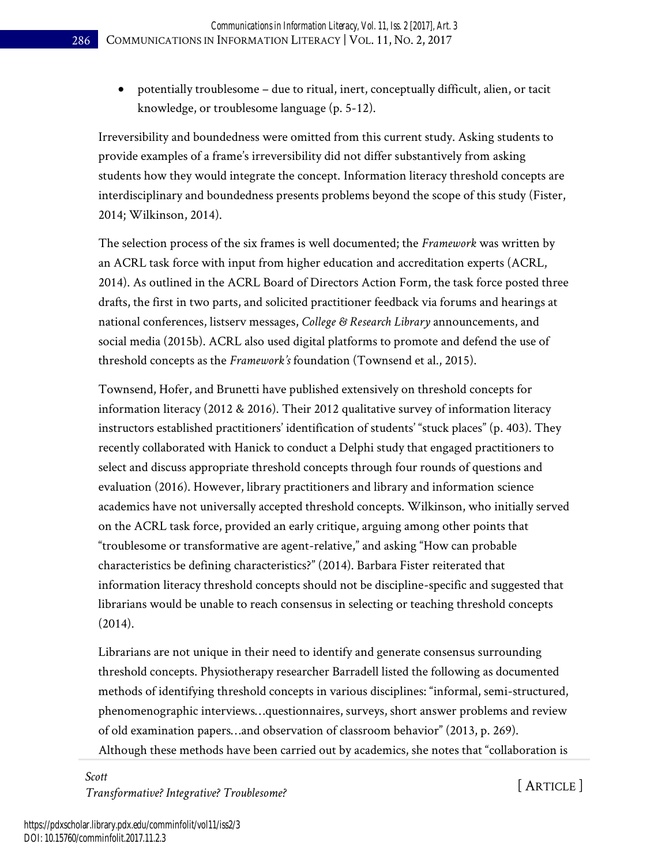potentially troublesome – due to ritual, inert, conceptually difficult, alien, or tacit knowledge, or troublesome language (p. 5-12).

Irreversibility and boundedness were omitted from this current study. Asking students to provide examples of a frame's irreversibility did not differ substantively from asking students how they would integrate the concept. Information literacy threshold concepts are interdisciplinary and boundedness presents problems beyond the scope of this study (Fister, 2014; Wilkinson, 2014).

The selection process of the six frames is well documented; the *Framework* was written by an ACRL task force with input from higher education and accreditation experts (ACRL, 2014). As outlined in the ACRL Board of Directors Action Form, the task force posted three drafts, the first in two parts, and solicited practitioner feedback via forums and hearings at national conferences, listserv messages, *College & Research Library* announcements, and social media (2015b). ACRL also used digital platforms to promote and defend the use of threshold concepts as the *Framework's* foundation (Townsend et al., 2015).

Townsend, Hofer, and Brunetti have published extensively on threshold concepts for information literacy (2012 & 2016). Their 2012 qualitative survey of information literacy instructors established practitioners' identification of students' "stuck places" (p. 403). They recently collaborated with Hanick to conduct a Delphi study that engaged practitioners to select and discuss appropriate threshold concepts through four rounds of questions and evaluation (2016). However, library practitioners and library and information science academics have not universally accepted threshold concepts. Wilkinson, who initially served on the ACRL task force, provided an early critique, arguing among other points that "troublesome or transformative are agent-relative," and asking "How can probable characteristics be defining characteristics?" (2014). Barbara Fister reiterated that information literacy threshold concepts should not be discipline-specific and suggested that librarians would be unable to reach consensus in selecting or teaching threshold concepts (2014).

Librarians are not unique in their need to identify and generate consensus surrounding threshold concepts. Physiotherapy researcher Barradell listed the following as documented methods of identifying threshold concepts in various disciplines: "informal, semi-structured, phenomenographic interviews…questionnaires, surveys, short answer problems and review of old examination papers…and observation of classroom behavior" (2013, p. 269). Although these methods have been carried out by academics, she notes that "collaboration is

*Scott Transformative? Integrative? Troublesome?* [ ARTICLE ]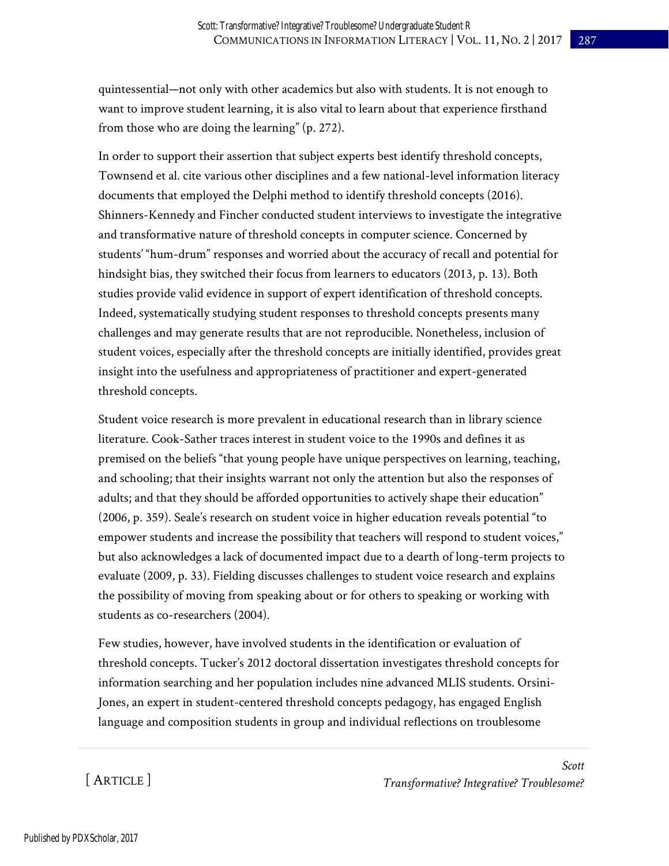quintessential—not only with other academics but also with students. It is not enough to want to improve student learning, it is also vital to learn about that experience firsthand from those who are doing the learning" (p. 272).

In order to support their assertion that subject experts best identify threshold concepts, Townsend et al. cite various other disciplines and a few national-level information literacy documents that employed the Delphi method to identify threshold concepts (2016). Shinners-Kennedy and Fincher conducted student interviews to investigate the integrative and transformative nature of threshold concepts in computer science. Concerned by students' "hum-drum" responses and worried about the accuracy of recall and potential for hindsight bias, they switched their focus from learners to educators (2013, p. 13). Both studies provide valid evidence in support of expert identification of threshold concepts. Indeed, systematically studying student responses to threshold concepts presents many challenges and may generate results that are not reproducible. Nonetheless, inclusion of student voices, especially after the threshold concepts are initially identified, provides great insight into the usefulness and appropriateness of practitioner and expert-generated threshold concepts.

Student voice research is more prevalent in educational research than in library science literature. Cook-Sather traces interest in student voice to the 1990s and defines it as premised on the beliefs "that young people have unique perspectives on learning, teaching, and schooling; that their insights warrant not only the attention but also the responses of adults; and that they should be afforded opportunities to actively shape their education" (2006, p. 359). Seale's research on student voice in higher education reveals potential "to empower students and increase the possibility that teachers will respond to student voices," but also acknowledges a lack of documented impact due to a dearth of long-term projects to evaluate (2009, p. 33). Fielding discusses challenges to student voice research and explains the possibility of moving from speaking about or for others to speaking or working with students as co-researchers (2004).

Few studies, however, have involved students in the identification or evaluation of threshold concepts. Tucker's 2012 doctoral dissertation investigates threshold concepts for information searching and her population includes nine advanced MLIS students. Orsini-Jones, an expert in student-centered threshold concepts pedagogy, has engaged English language and composition students in group and individual reflections on troublesome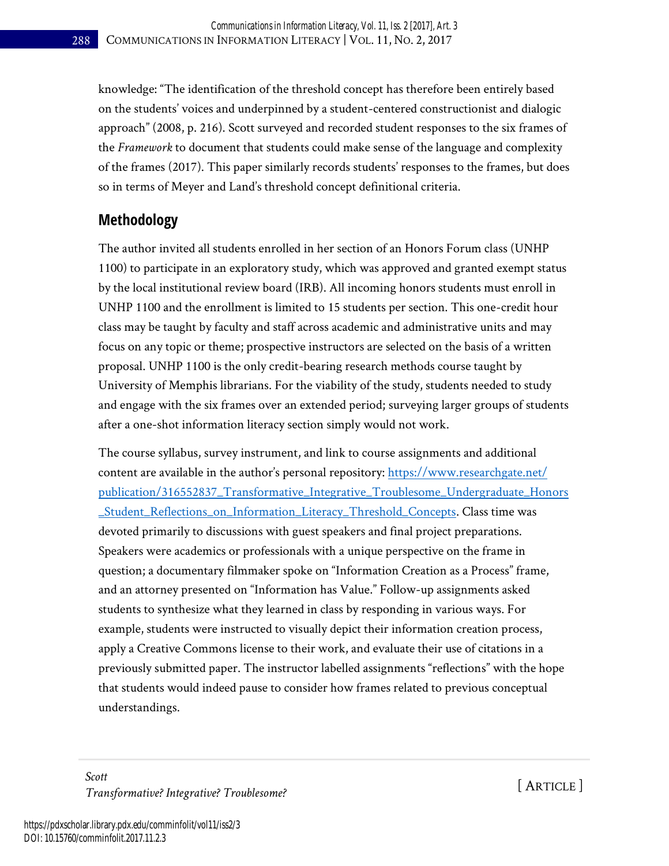knowledge: "The identification of the threshold concept has therefore been entirely based on the students' voices and underpinned by a student-centered constructionist and dialogic approach" (2008, p. 216). Scott surveyed and recorded student responses to the six frames of the *Framework* to document that students could make sense of the language and complexity of the frames (2017). This paper similarly records students' responses to the frames, but does so in terms of Meyer and Land's threshold concept definitional criteria.

### **Methodology**

The author invited all students enrolled in her section of an Honors Forum class (UNHP 1100) to participate in an exploratory study, which was approved and granted exempt status by the local institutional review board (IRB). All incoming honors students must enroll in UNHP 1100 and the enrollment is limited to 15 students per section. This one-credit hour class may be taught by faculty and staff across academic and administrative units and may focus on any topic or theme; prospective instructors are selected on the basis of a written proposal. UNHP 1100 is the only credit-bearing research methods course taught by University of Memphis librarians. For the viability of the study, students needed to study and engage with the six frames over an extended period; surveying larger groups of students after a one-shot information literacy section simply would not work.

The course syllabus, survey instrument, and link to course assignments and additional content are available in the author's personal repository: [https://www.researchgate.net/](https://www.researchgate.net/publication/316552837_Transformative_Integrative_Troublesome_Undergraduate_Honors_Student_Reflections_on_Information_Literacy_Threshold_Concepts)  [publication/316552837\\_Transformative\\_Integrative\\_Troublesome\\_Undergraduate\\_Honors](https://www.researchgate.net/publication/316552837_Transformative_Integrative_Troublesome_Undergraduate_Honors_Student_Reflections_on_Information_Literacy_Threshold_Concepts) [\\_Student\\_Reflections\\_on\\_Information\\_Literacy\\_Threshold\\_Concepts.](https://www.researchgate.net/publication/316552837_Transformative_Integrative_Troublesome_Undergraduate_Honors_Student_Reflections_on_Information_Literacy_Threshold_Concepts) Class time was devoted primarily to discussions with guest speakers and final project preparations. Speakers were academics or professionals with a unique perspective on the frame in question; a documentary filmmaker spoke on "Information Creation as a Process" frame, and an attorney presented on "Information has Value." Follow-up assignments asked students to synthesize what they learned in class by responding in various ways. For example, students were instructed to visually depict their information creation process, apply a Creative Commons license to their work, and evaluate their use of citations in a previously submitted paper. The instructor labelled assignments "reflections" with the hope that students would indeed pause to consider how frames related to previous conceptual understandings.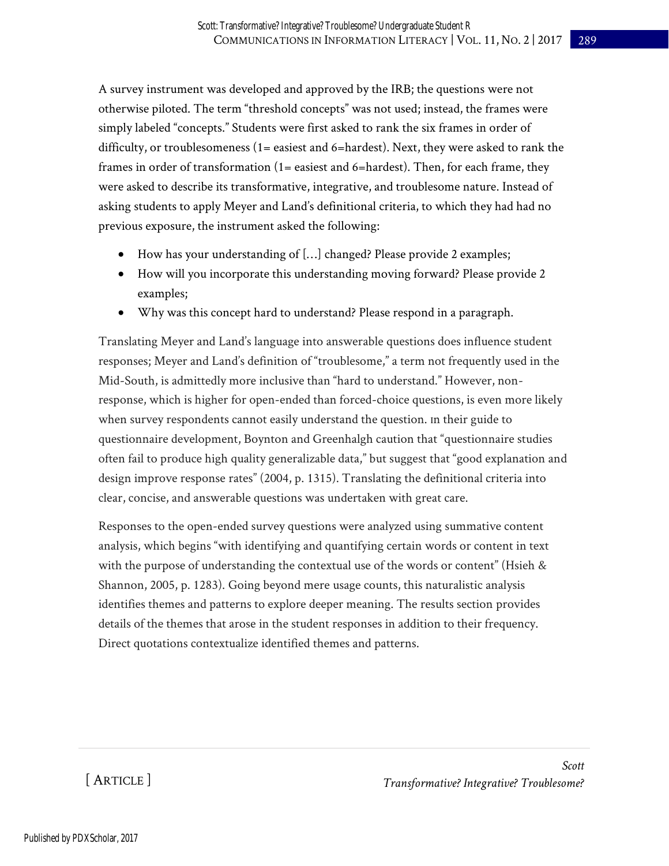A survey instrument was developed and approved by the IRB; the questions were not otherwise piloted. The term "threshold concepts" was not used; instead, the frames were simply labeled "concepts." Students were first asked to rank the six frames in order of difficulty, or troublesomeness  $(1=$  easiest and  $6=$  hardest). Next, they were asked to rank the frames in order of transformation  $(1=$  easiest and  $6=$  hardest). Then, for each frame, they were asked to describe its transformative, integrative, and troublesome nature. Instead of asking students to apply Meyer and Land's definitional criteria, to which they had had no previous exposure, the instrument asked the following:

- How has your understanding of […] changed? Please provide 2 examples;
- How will you incorporate this understanding moving forward? Please provide 2 examples;
- Why was this concept hard to understand? Please respond in a paragraph.

Translating Meyer and Land's language into answerable questions does influence student responses; Meyer and Land's definition of "troublesome," a term not frequently used in the Mid-South, is admittedly more inclusive than "hard to understand." However, nonresponse, which is higher for open-ended than forced-choice questions, is even more likely when survey respondents cannot easily understand the question. In their guide to questionnaire development, Boynton and Greenhalgh caution that "questionnaire studies often fail to produce high quality generalizable data," but suggest that "good explanation and design improve response rates" (2004, p. 1315). Translating the definitional criteria into clear, concise, and answerable questions was undertaken with great care.

Responses to the open-ended survey questions were analyzed using summative content analysis, which begins "with identifying and quantifying certain words or content in text with the purpose of understanding the contextual use of the words or content" (Hsieh  $\&$ Shannon, 2005, p. 1283). Going beyond mere usage counts, this naturalistic analysis identifies themes and patterns to explore deeper meaning. The results section provides details of the themes that arose in the student responses in addition to their frequency. Direct quotations contextualize identified themes and patterns.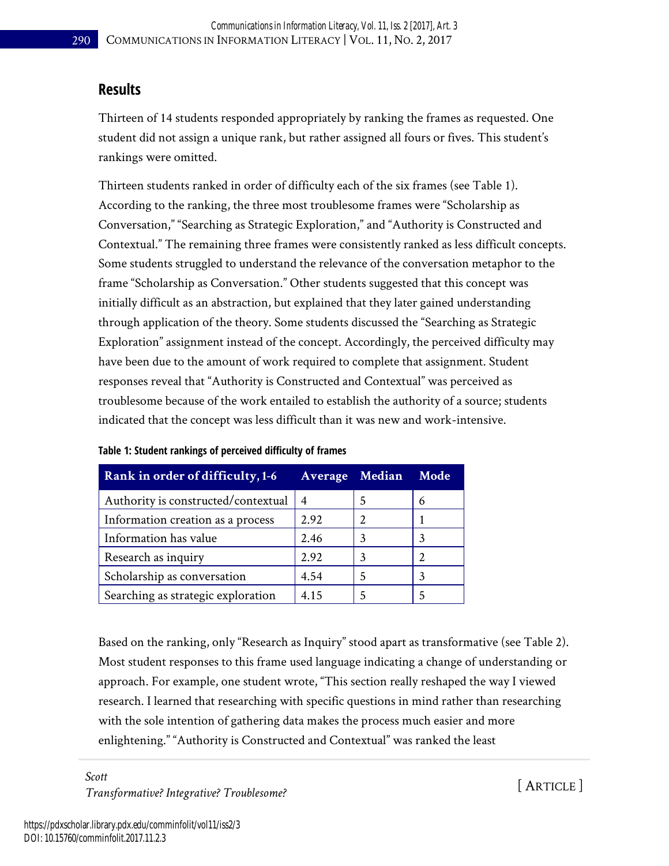#### **Results**

Thirteen of 14 students responded appropriately by ranking the frames as requested. One student did not assign a unique rank, but rather assigned all fours or fives. This student's rankings were omitted.

Thirteen students ranked in order of difficulty each of the six frames (see Table 1). According to the ranking, the three most troublesome frames were "Scholarship as Conversation," "Searching as Strategic Exploration," and "Authority is Constructed and Contextual." The remaining three frames were consistently ranked as less difficult concepts. Some students struggled to understand the relevance of the conversation metaphor to the frame "Scholarship as Conversation." Other students suggested that this concept was initially difficult as an abstraction, but explained that they later gained understanding through application of the theory. Some students discussed the "Searching as Strategic Exploration" assignment instead of the concept. Accordingly, the perceived difficulty may have been due to the amount of work required to complete that assignment. Student responses reveal that "Authority is Constructed and Contextual" was perceived as troublesome because of the work entailed to establish the authority of a source; students indicated that the concept was less difficult than it was new and work-intensive.

| Rank in order of difficulty, 1-6    | Average Median | Mode |
|-------------------------------------|----------------|------|
| Authority is constructed/contextual |                | 6    |
| Information creation as a process   | 2.92           |      |
| Information has value               | 2.46           | 3    |
| Research as inquiry                 | 2.92           |      |
| Scholarship as conversation         | 4.54           |      |
| Searching as strategic exploration  | 4.15           |      |

**Table 1: Student rankings of perceived difficulty of frames**

Based on the ranking, only "Research as Inquiry" stood apart as transformative (see Table 2). Most student responses to this frame used language indicating a change of understanding or approach. For example, one student wrote, "This section really reshaped the way I viewed research. I learned that researching with specific questions in mind rather than researching with the sole intention of gathering data makes the process much easier and more enlightening." "Authority is Constructed and Contextual" was ranked the least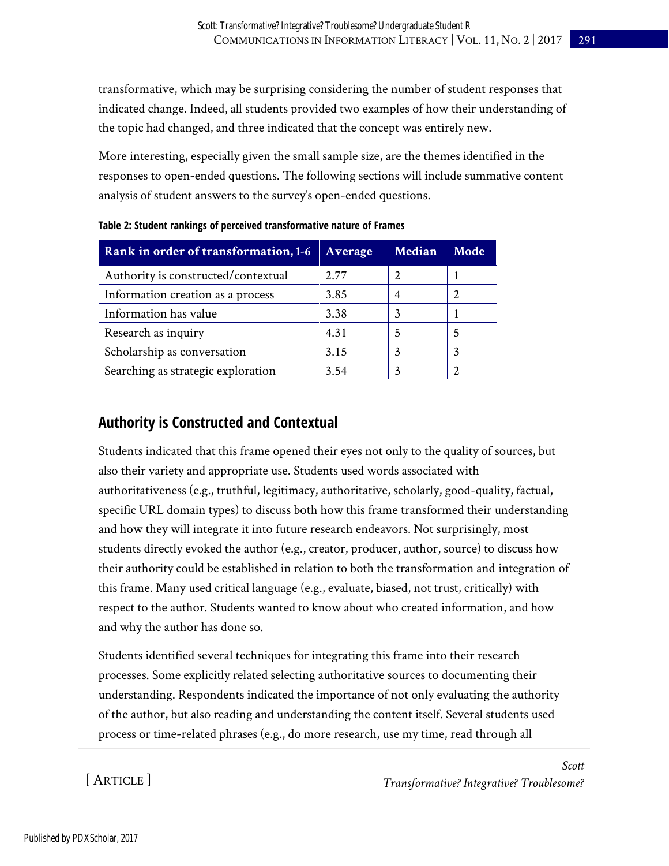transformative, which may be surprising considering the number of student responses that indicated change. Indeed, all students provided two examples of how their understanding of the topic had changed, and three indicated that the concept was entirely new.

More interesting, especially given the small sample size, are the themes identified in the responses to open-ended questions. The following sections will include summative content analysis of student answers to the survey's open-ended questions.

| Rank in order of transformation, 1-6 | <b>Average</b> | Median | Mode |
|--------------------------------------|----------------|--------|------|
| Authority is constructed/contextual  | 2.77           |        |      |
| Information creation as a process    | 3.85           |        |      |
| Information has value                | 3.38           |        |      |
| Research as inquiry                  | 4.31           |        |      |
| Scholarship as conversation          | 3.15           |        |      |
| Searching as strategic exploration   | 3.54           |        |      |

**Table 2: Student rankings of perceived transformative nature of Frames**

### **Authority is Constructed and Contextual**

Students indicated that this frame opened their eyes not only to the quality of sources, but also their variety and appropriate use. Students used words associated with authoritativeness (e.g., truthful, legitimacy, authoritative, scholarly, good-quality, factual, specific URL domain types) to discuss both how this frame transformed their understanding and how they will integrate it into future research endeavors. Not surprisingly, most students directly evoked the author (e.g., creator, producer, author, source) to discuss how their authority could be established in relation to both the transformation and integration of this frame. Many used critical language (e.g., evaluate, biased, not trust, critically) with respect to the author. Students wanted to know about who created information, and how and why the author has done so.

Students identified several techniques for integrating this frame into their research processes. Some explicitly related selecting authoritative sources to documenting their understanding. Respondents indicated the importance of not only evaluating the authority of the author, but also reading and understanding the content itself. Several students used process or time-related phrases (e.g., do more research, use my time, read through all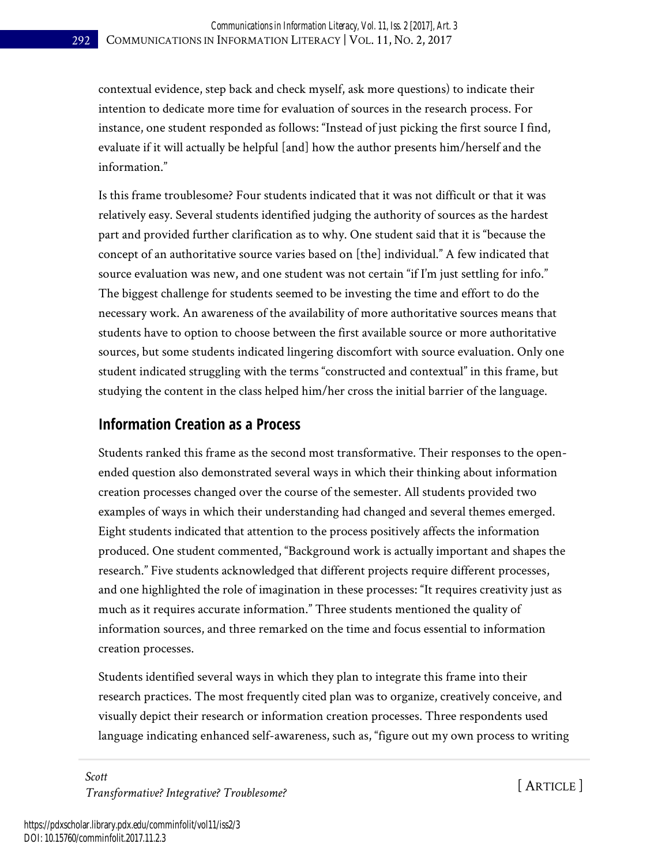contextual evidence, step back and check myself, ask more questions) to indicate their intention to dedicate more time for evaluation of sources in the research process. For instance, one student responded as follows: "Instead of just picking the first source I find, evaluate if it will actually be helpful [and] how the author presents him/herself and the information."

Is this frame troublesome? Four students indicated that it was not difficult or that it was relatively easy. Several students identified judging the authority of sources as the hardest part and provided further clarification as to why. One student said that it is "because the concept of an authoritative source varies based on [the] individual." A few indicated that source evaluation was new, and one student was not certain "if I'm just settling for info." The biggest challenge for students seemed to be investing the time and effort to do the necessary work. An awareness of the availability of more authoritative sources means that students have to option to choose between the first available source or more authoritative sources, but some students indicated lingering discomfort with source evaluation. Only one student indicated struggling with the terms "constructed and contextual" in this frame, but studying the content in the class helped him/her cross the initial barrier of the language.

#### **Information Creation as a Process**

Students ranked this frame as the second most transformative. Their responses to the openended question also demonstrated several ways in which their thinking about information creation processes changed over the course of the semester. All students provided two examples of ways in which their understanding had changed and several themes emerged. Eight students indicated that attention to the process positively affects the information produced. One student commented, "Background work is actually important and shapes the research." Five students acknowledged that different projects require different processes, and one highlighted the role of imagination in these processes: "It requires creativity just as much as it requires accurate information." Three students mentioned the quality of information sources, and three remarked on the time and focus essential to information creation processes.

Students identified several ways in which they plan to integrate this frame into their research practices. The most frequently cited plan was to organize, creatively conceive, and visually depict their research or information creation processes. Three respondents used language indicating enhanced self-awareness, such as, "figure out my own process to writing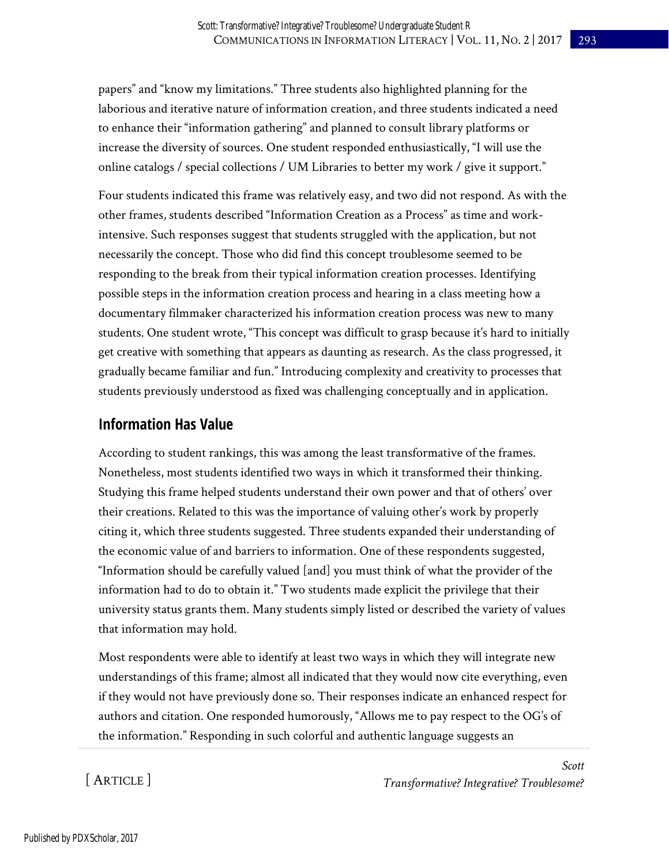papers" and "know my limitations." Three students also highlighted planning for the laborious and iterative nature of information creation, and three students indicated a need to enhance their "information gathering" and planned to consult library platforms or increase the diversity of sources. One student responded enthusiastically, "I will use the online catalogs / special collections / UM Libraries to better my work / give it support."

Four students indicated this frame was relatively easy, and two did not respond. As with the other frames, students described "Information Creation as a Process" as time and workintensive. Such responses suggest that students struggled with the application, but not necessarily the concept. Those who did find this concept troublesome seemed to be responding to the break from their typical information creation processes. Identifying possible steps in the information creation process and hearing in a class meeting how a documentary filmmaker characterized his information creation process was new to many students. One student wrote, "This concept was difficult to grasp because it's hard to initially get creative with something that appears as daunting as research. As the class progressed, it gradually became familiar and fun." Introducing complexity and creativity to processes that students previously understood as fixed was challenging conceptually and in application.

#### **Information Has Value**

According to student rankings, this was among the least transformative of the frames. Nonetheless, most students identified two ways in which it transformed their thinking. Studying this frame helped students understand their own power and that of others' over their creations. Related to this was the importance of valuing other's work by properly citing it, which three students suggested. Three students expanded their understanding of the economic value of and barriers to information. One of these respondents suggested, "Information should be carefully valued [and] you must think of what the provider of the information had to do to obtain it." Two students made explicit the privilege that their university status grants them. Many students simply listed or described the variety of values that information may hold.

Most respondents were able to identify at least two ways in which they will integrate new understandings of this frame; almost all indicated that they would now cite everything, even if they would not have previously done so. Their responses indicate an enhanced respect for authors and citation. One responded humorously, "Allows me to pay respect to the OG's of the information." Responding in such colorful and authentic language suggests an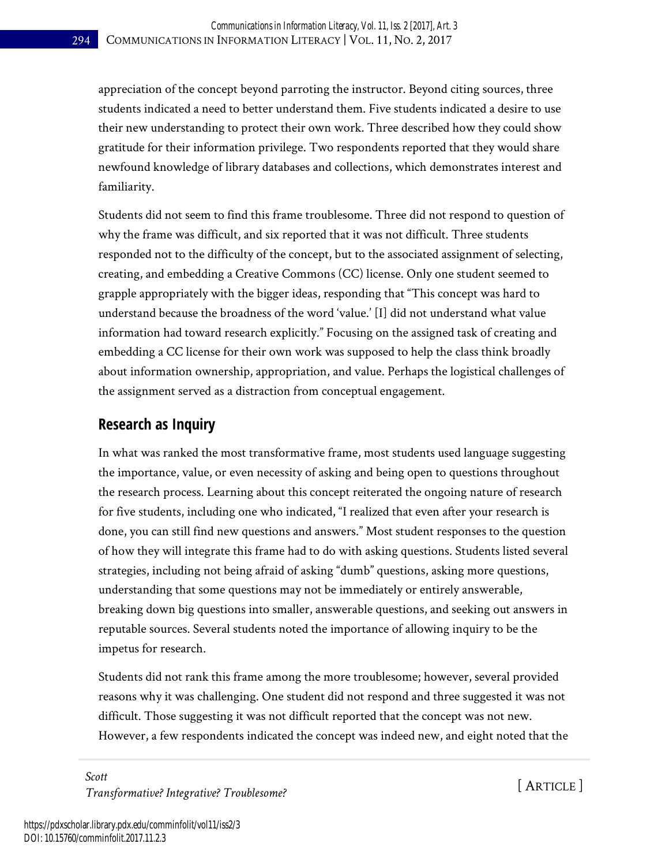appreciation of the concept beyond parroting the instructor. Beyond citing sources, three students indicated a need to better understand them. Five students indicated a desire to use their new understanding to protect their own work. Three described how they could show gratitude for their information privilege. Two respondents reported that they would share newfound knowledge of library databases and collections, which demonstrates interest and familiarity.

Students did not seem to find this frame troublesome. Three did not respond to question of why the frame was difficult, and six reported that it was not difficult. Three students responded not to the difficulty of the concept, but to the associated assignment of selecting, creating, and embedding a Creative Commons (CC) license. Only one student seemed to grapple appropriately with the bigger ideas, responding that "This concept was hard to understand because the broadness of the word 'value.' [I] did not understand what value information had toward research explicitly." Focusing on the assigned task of creating and embedding a CC license for their own work was supposed to help the class think broadly about information ownership, appropriation, and value. Perhaps the logistical challenges of the assignment served as a distraction from conceptual engagement.

#### **Research as Inquiry**

In what was ranked the most transformative frame, most students used language suggesting the importance, value, or even necessity of asking and being open to questions throughout the research process. Learning about this concept reiterated the ongoing nature of research for five students, including one who indicated, "I realized that even after your research is done, you can still find new questions and answers." Most student responses to the question of how they will integrate this frame had to do with asking questions. Students listed several strategies, including not being afraid of asking "dumb" questions, asking more questions, understanding that some questions may not be immediately or entirely answerable, breaking down big questions into smaller, answerable questions, and seeking out answers in reputable sources. Several students noted the importance of allowing inquiry to be the impetus for research.

Students did not rank this frame among the more troublesome; however, several provided reasons why it was challenging. One student did not respond and three suggested it was not difficult. Those suggesting it was not difficult reported that the concept was not new. However, a few respondents indicated the concept was indeed new, and eight noted that the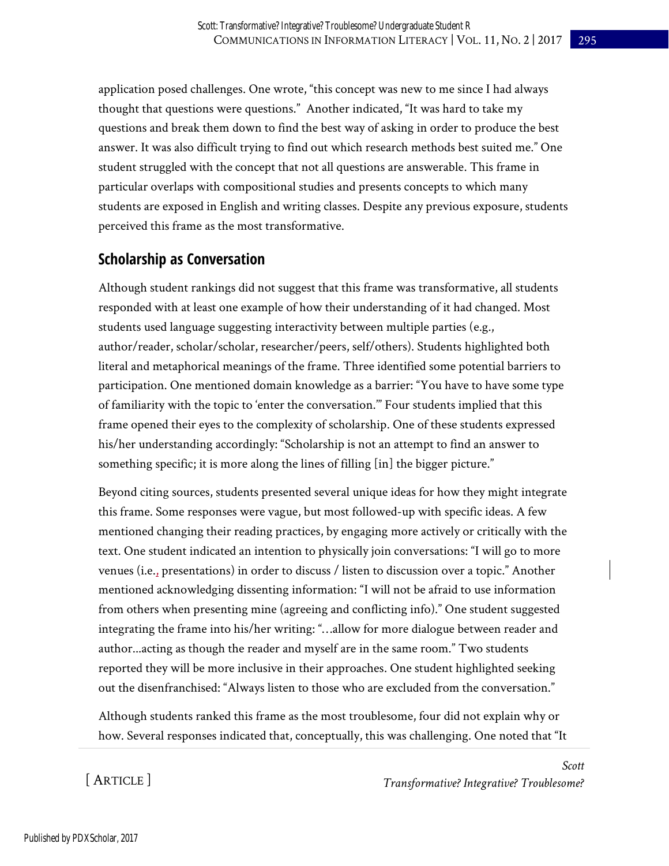application posed challenges. One wrote, "this concept was new to me since I had always thought that questions were questions." Another indicated, "It was hard to take my questions and break them down to find the best way of asking in order to produce the best answer. It was also difficult trying to find out which research methods best suited me." One student struggled with the concept that not all questions are answerable. This frame in particular overlaps with compositional studies and presents concepts to which many students are exposed in English and writing classes. Despite any previous exposure, students perceived this frame as the most transformative.

#### **Scholarship as Conversation**

Although student rankings did not suggest that this frame was transformative, all students responded with at least one example of how their understanding of it had changed. Most students used language suggesting interactivity between multiple parties (e.g., author/reader, scholar/scholar, researcher/peers, self/others). Students highlighted both literal and metaphorical meanings of the frame. Three identified some potential barriers to participation. One mentioned domain knowledge as a barrier: "You have to have some type of familiarity with the topic to 'enter the conversation.'" Four students implied that this frame opened their eyes to the complexity of scholarship. One of these students expressed his/her understanding accordingly: "Scholarship is not an attempt to find an answer to something specific; it is more along the lines of filling [in] the bigger picture."

Beyond citing sources, students presented several unique ideas for how they might integrate this frame. Some responses were vague, but most followed-up with specific ideas. A few mentioned changing their reading practices, by engaging more actively or critically with the text. One student indicated an intention to physically join conversations: "I will go to more venues (i.e., presentations) in order to discuss / listen to discussion over a topic." Another mentioned acknowledging dissenting information: "I will not be afraid to use information from others when presenting mine (agreeing and conflicting info)." One student suggested integrating the frame into his/her writing: "…allow for more dialogue between reader and author...acting as though the reader and myself are in the same room." Two students reported they will be more inclusive in their approaches. One student highlighted seeking out the disenfranchised: "Always listen to those who are excluded from the conversation."

Although students ranked this frame as the most troublesome, four did not explain why or how. Several responses indicated that, conceptually, this was challenging. One noted that "It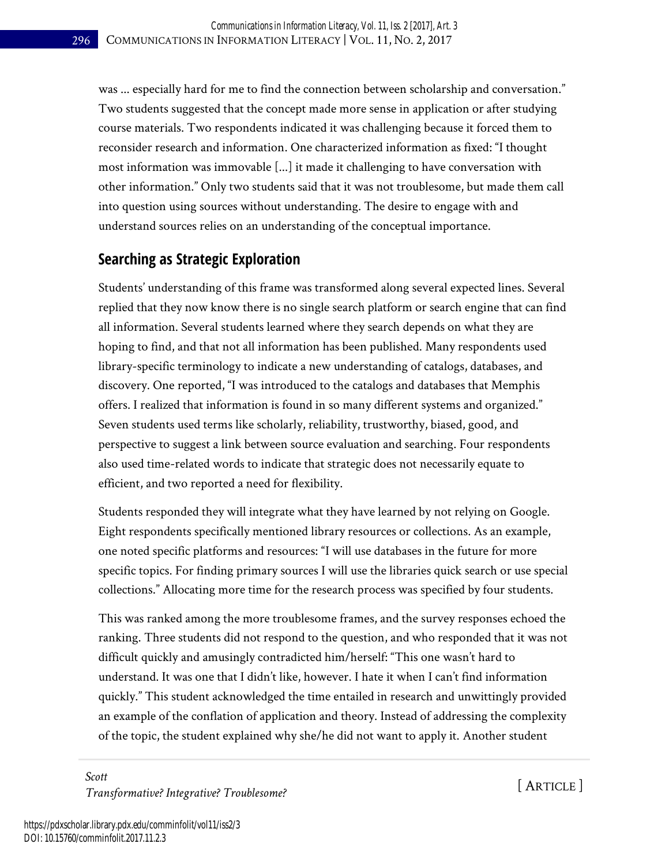was ... especially hard for me to find the connection between scholarship and conversation." Two students suggested that the concept made more sense in application or after studying course materials. Two respondents indicated it was challenging because it forced them to reconsider research and information. One characterized information as fixed: "I thought most information was immovable [...] it made it challenging to have conversation with other information." Only two students said that it was not troublesome, but made them call into question using sources without understanding. The desire to engage with and understand sources relies on an understanding of the conceptual importance.

### **Searching as Strategic Exploration**

Students' understanding of this frame was transformed along several expected lines. Several replied that they now know there is no single search platform or search engine that can find all information. Several students learned where they search depends on what they are hoping to find, and that not all information has been published. Many respondents used library-specific terminology to indicate a new understanding of catalogs, databases, and discovery. One reported, "I was introduced to the catalogs and databases that Memphis offers. I realized that information is found in so many different systems and organized." Seven students used terms like scholarly, reliability, trustworthy, biased, good, and perspective to suggest a link between source evaluation and searching. Four respondents also used time-related words to indicate that strategic does not necessarily equate to efficient, and two reported a need for flexibility.

Students responded they will integrate what they have learned by not relying on Google. Eight respondents specifically mentioned library resources or collections. As an example, one noted specific platforms and resources: "I will use databases in the future for more specific topics. For finding primary sources I will use the libraries quick search or use special collections." Allocating more time for the research process was specified by four students.

This was ranked among the more troublesome frames, and the survey responses echoed the ranking. Three students did not respond to the question, and who responded that it was not difficult quickly and amusingly contradicted him/herself: "This one wasn't hard to understand. It was one that I didn't like, however. I hate it when I can't find information quickly." This student acknowledged the time entailed in research and unwittingly provided an example of the conflation of application and theory. Instead of addressing the complexity of the topic, the student explained why she/he did not want to apply it. Another student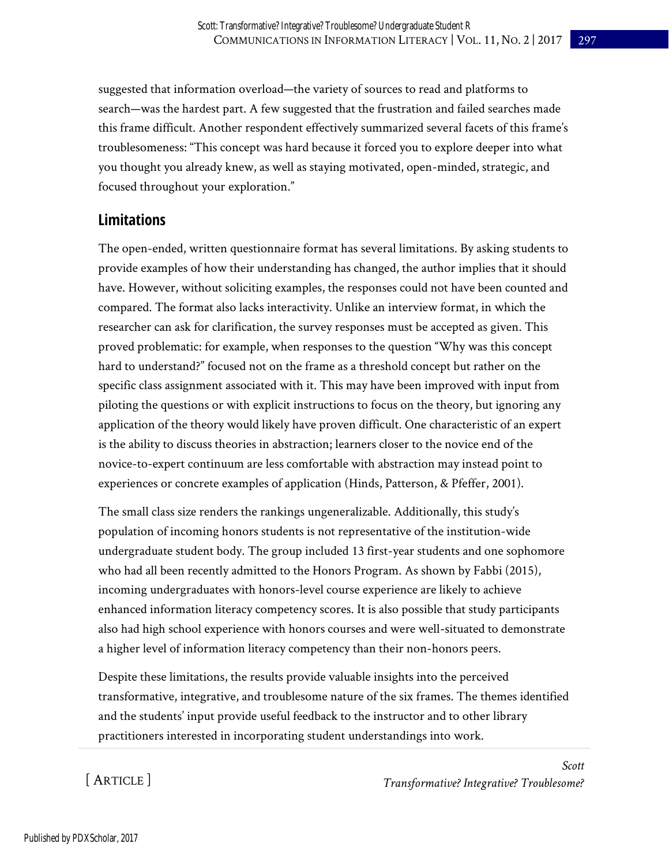suggested that information overload—the variety of sources to read and platforms to search—was the hardest part. A few suggested that the frustration and failed searches made this frame difficult. Another respondent effectively summarized several facets of this frame's troublesomeness: "This concept was hard because it forced you to explore deeper into what you thought you already knew, as well as staying motivated, open-minded, strategic, and focused throughout your exploration."

#### **Limitations**

The open-ended, written questionnaire format has several limitations. By asking students to provide examples of how their understanding has changed, the author implies that it should have. However, without soliciting examples, the responses could not have been counted and compared. The format also lacks interactivity. Unlike an interview format, in which the researcher can ask for clarification, the survey responses must be accepted as given. This proved problematic: for example, when responses to the question "Why was this concept hard to understand?" focused not on the frame as a threshold concept but rather on the specific class assignment associated with it. This may have been improved with input from piloting the questions or with explicit instructions to focus on the theory, but ignoring any application of the theory would likely have proven difficult. One characteristic of an expert is the ability to discuss theories in abstraction; learners closer to the novice end of the novice-to-expert continuum are less comfortable with abstraction may instead point to experiences or concrete examples of application (Hinds, Patterson, & Pfeffer, 2001).

The small class size renders the rankings ungeneralizable. Additionally, this study's population of incoming honors students is not representative of the institution-wide undergraduate student body. The group included 13 first-year students and one sophomore who had all been recently admitted to the Honors Program. As shown by Fabbi (2015), incoming undergraduates with honors-level course experience are likely to achieve enhanced information literacy competency scores. It is also possible that study participants also had high school experience with honors courses and were well-situated to demonstrate a higher level of information literacy competency than their non-honors peers.

Despite these limitations, the results provide valuable insights into the perceived transformative, integrative, and troublesome nature of the six frames. The themes identified and the students' input provide useful feedback to the instructor and to other library practitioners interested in incorporating student understandings into work.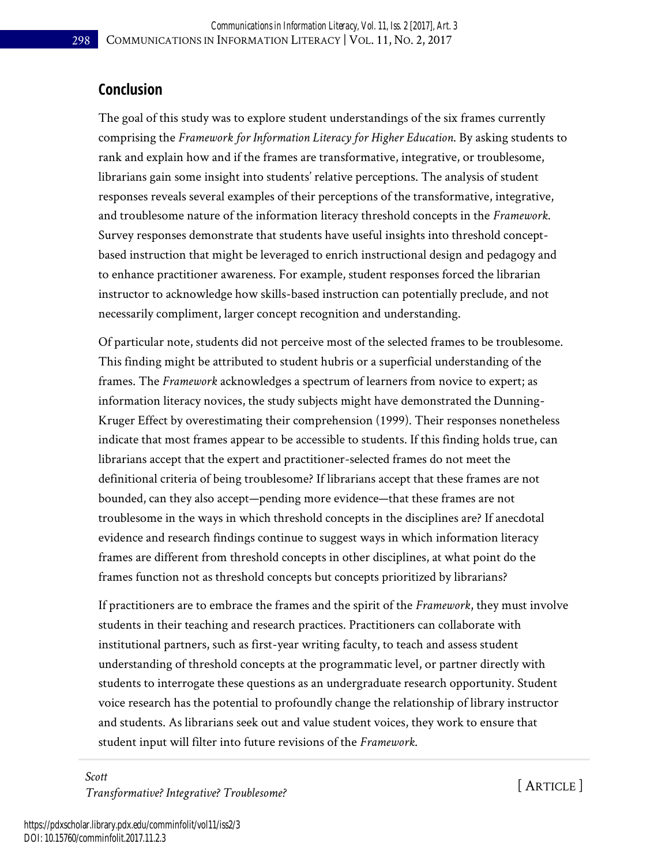#### **Conclusion**

The goal of this study was to explore student understandings of the six frames currently comprising the *Framework for Information Literacy for Higher Education*. By asking students to rank and explain how and if the frames are transformative, integrative, or troublesome, librarians gain some insight into students' relative perceptions. The analysis of student responses reveals several examples of their perceptions of the transformative, integrative, and troublesome nature of the information literacy threshold concepts in the *Framework*. Survey responses demonstrate that students have useful insights into threshold conceptbased instruction that might be leveraged to enrich instructional design and pedagogy and to enhance practitioner awareness. For example, student responses forced the librarian instructor to acknowledge how skills-based instruction can potentially preclude, and not necessarily compliment, larger concept recognition and understanding.

Of particular note, students did not perceive most of the selected frames to be troublesome. This finding might be attributed to student hubris or a superficial understanding of the frames. The *Framework* acknowledges a spectrum of learners from novice to expert; as information literacy novices, the study subjects might have demonstrated the Dunning-Kruger Effect by overestimating their comprehension (1999). Their responses nonetheless indicate that most frames appear to be accessible to students. If this finding holds true, can librarians accept that the expert and practitioner-selected frames do not meet the definitional criteria of being troublesome? If librarians accept that these frames are not bounded, can they also accept—pending more evidence—that these frames are not troublesome in the ways in which threshold concepts in the disciplines are? If anecdotal evidence and research findings continue to suggest ways in which information literacy frames are different from threshold concepts in other disciplines, at what point do the frames function not as threshold concepts but concepts prioritized by librarians?

If practitioners are to embrace the frames and the spirit of the *Framework*, they must involve students in their teaching and research practices. Practitioners can collaborate with institutional partners, such as first-year writing faculty, to teach and assess student understanding of threshold concepts at the programmatic level, or partner directly with students to interrogate these questions as an undergraduate research opportunity. Student voice research has the potential to profoundly change the relationship of library instructor and students. As librarians seek out and value student voices, they work to ensure that student input will filter into future revisions of the *Framework*.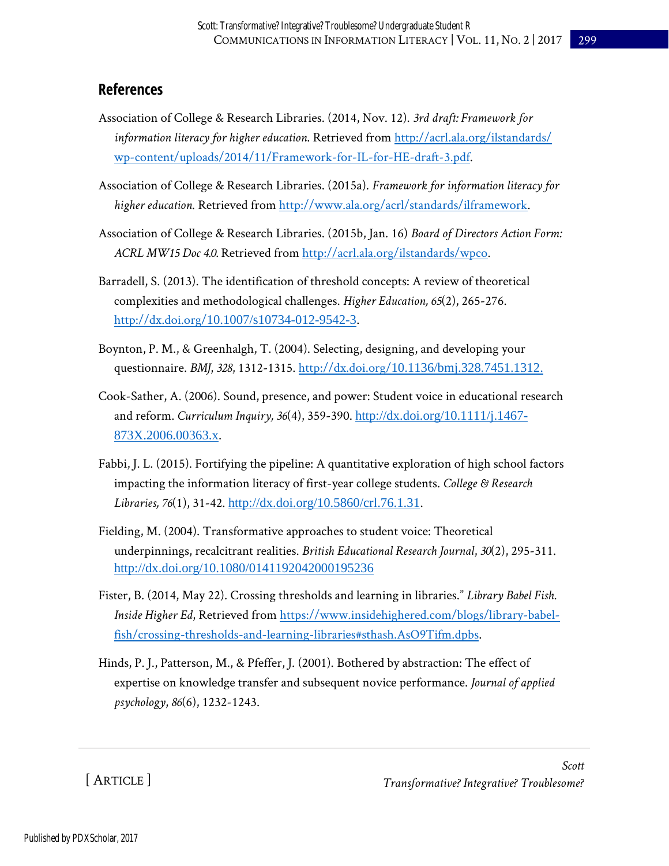#### **References**

- Association of College & Research Libraries. (2014, Nov. 12). *3rd draft: Framework for information literacy for higher education*. Retrieved from [http://acrl.ala.org/ilstandards/](http://acrl.ala.org/ilstandards/wp-content/uploads/2014/11/Framework-for-IL-for-HE-draft-3.pdf)  [wp-content/uploads/2014/11/Framework-for-IL-for-HE-draft-3.pdf.](http://acrl.ala.org/ilstandards/wp-content/uploads/2014/11/Framework-for-IL-for-HE-draft-3.pdf)
- Association of College & Research Libraries. (2015a). *Framework for information literacy for higher education*. Retrieved from [http://www.ala.org/acrl/standards/ilframework.](http://www.ala.org/acrl/standards/ilframework)
- Association of College & Research Libraries. (2015b, Jan. 16) *Board of Directors Action Form: ACRL MW15 Doc 4.0.* Retrieved from [http://acrl.ala.org/ilstandards/wpco.](http://acrl.ala.org/ilstandards/wpco)
- Barradell, S. (2013). The identification of threshold concepts: A review of theoretical complexities and methodological challenges. *Higher Education, 65*(2), 265-276. http://dx.doi.org/[10.1007/s10734-012-9542-3.](http://dx.doi.org/10.1007/s10734-012-9542-3)
- Boynton, P. M., & Greenhalgh, T. (2004). Selecting, designing, and developing your questionnaire. *BMJ*, *328*, 1312-1315. http://dx.doi.org/[10.1136/bmj.328.7451.1312.](http://dx.doi.org/10.1136/bmj.328.7451.1312)
- Cook-Sather, A. (2006). Sound, presence, and power: Student voice in educational research and reform. *Curriculum Inquiry, 36*(4), 359-390. [http://dx.doi.org/10.1111/j.1467-](http://dx.doi.org/10.1111/j.1467-873X.2006.00363.x) [873X.2006.00363.x](http://dx.doi.org/10.1111/j.1467-873X.2006.00363.x).
- Fabbi, J. L. (2015). Fortifying the pipeline: A quantitative exploration of high school factors impacting the information literacy of first-year college students. *College & Research Libraries, 76*(1), 31-42. [http://dx.doi.org/10.5860/crl.76.1.31.](http://dx.doi.org/10.5860/crl.76.1.31)
- Fielding, M. (2004). Transformative approaches to student voice: Theoretical underpinnings, recalcitrant realities. *British Educational Research Journal*, *30*(2), 295-311. <http://dx.doi.org/10.1080/0141192042000195236>
- Fister, B. (2014, May 22). Crossing thresholds and learning in libraries." *Library Babel Fish*. *Inside Higher Ed*, Retrieved from [https://www.insidehighered.com/blogs/library-babel](https://www.insidehighered.com/blogs/library-babel-fish/crossing-thresholds-and-learning-libraries#sthash.AsO9Tifm.dpbs)[fish/crossing-thresholds-and-learning-libraries#sthash.AsO9Tifm.dpbs.](https://www.insidehighered.com/blogs/library-babel-fish/crossing-thresholds-and-learning-libraries#sthash.AsO9Tifm.dpbs)
- Hinds, P. J., Patterson, M., & Pfeffer, J. (2001). Bothered by abstraction: The effect of expertise on knowledge transfer and subsequent novice performance. *Journal of applied psychology*, *86*(6), 1232-1243.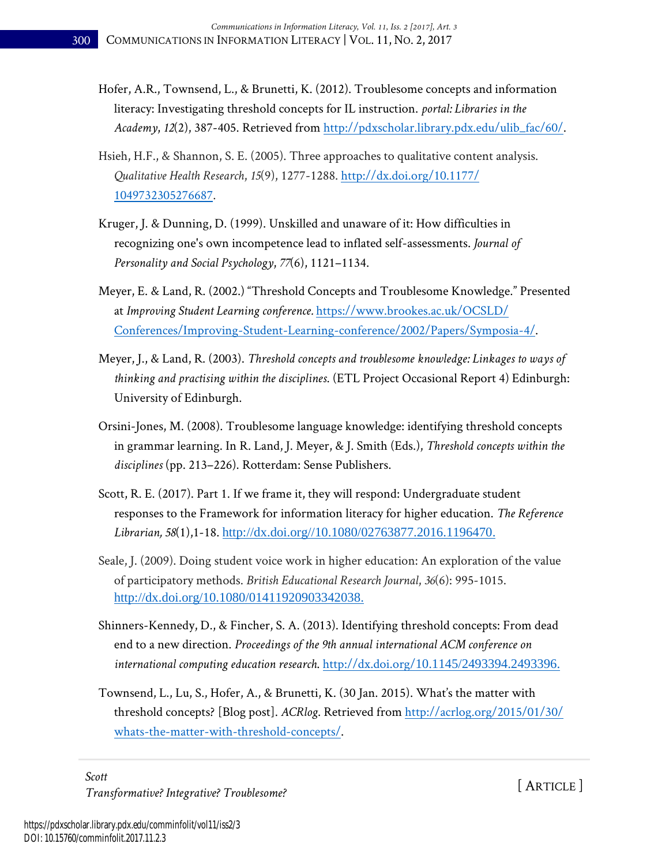- Hofer, A.R., Townsend, L., & Brunetti, K. (2012). Troublesome concepts and information literacy: Investigating threshold concepts for IL instruction. *portal: Libraries in the Academy*, *12*(2), 387-405. Retrieved from [http://pdxscholar.library.pdx.edu/ulib\\_fac/60/.](http://pdxscholar.library.pdx.edu/ulib_fac/60/)
- Hsieh, H.F., & Shannon, S. E. (2005). Three approaches to qualitative content analysis. *Qualitative Health Research*, *15*(9), 1277-1288. [http://dx.doi.org/10.1177/](http://dx.doi.org/10.1177/1049732305276687)  [1049732305276687.](http://dx.doi.org/10.1177/1049732305276687)
- Kruger, J. & Dunning, D. (1999). Unskilled and unaware of it: How difficulties in recognizing one's own incompetence lead to inflated self-assessments. *Journal of Personality and Social Psychology*, *77*(6), 1121–1134.
- Meyer, E. & Land, R. (2002.) "Threshold Concepts and Troublesome Knowledge." Presented at *Improving Student Learning conference.* [https://www.brookes.ac.uk/OCSLD/](https://www.brookes.ac.uk/OCSLD/Conferences/Improving-Student-Learning-conference/2002/Papers/Symposia-4/)  [Conferences/Improving-Student-Learning-conference/2002/Papers/Symposia-4/.](https://www.brookes.ac.uk/OCSLD/Conferences/Improving-Student-Learning-conference/2002/Papers/Symposia-4/)
- Meyer, J., & Land, R. (2003). *Threshold concepts and troublesome knowledge: Linkages to ways of thinking and practising within the disciplines*. (ETL Project Occasional Report 4) Edinburgh: University of Edinburgh.
- Orsini-Jones, M. (2008). Troublesome language knowledge: identifying threshold concepts in grammar learning. In R. Land, J. Meyer, & J. Smith (Eds.), *Threshold concepts within the disciplines* (pp. 213–226). Rotterdam: Sense Publishers.
- Scott, R. E. (2017). Part 1. If we frame it, they will respond: Undergraduate student responses to the Framework for information literacy for higher education. *The Reference Librarian, 58*(1),1-18. [http://dx.doi.org//10.1080/02763877.2016.1196470.](http://dx.doi.org/10.1080/02763877.2016.1196470)
- Seale, J. (2009). Doing student voice work in higher education: An exploration of the value of participatory methods. *British Educational Research Journal*, *36*(6): 995-1015. [http://dx.doi.org/10.1080/01411920903342038.](http://dx.doi.org/10.1080/01411920903342038)
- Shinners-Kennedy, D., & Fincher, S. A. (2013). Identifying threshold concepts: From dead end to a new direction. *Proceedings of the 9th annual international ACM conference on international computing education research*. http://dx.doi.org/[10.1145/2493394.2493396.](http://dx.doi.org/10.1145/2493394.2493396)
- Townsend, L., Lu, S., Hofer, A., & Brunetti, K. (30 Jan. 2015). What's the matter with threshold concepts? [Blog post]. *ACRlog*. Retrieved fro[m http://acrlog.org/2015/01/30/](http://acrlog.org/2015/01/30/whats-the-matter-with-threshold-concepts/)  [whats-the-matter-with-threshold-concepts/.](http://acrlog.org/2015/01/30/whats-the-matter-with-threshold-concepts/)